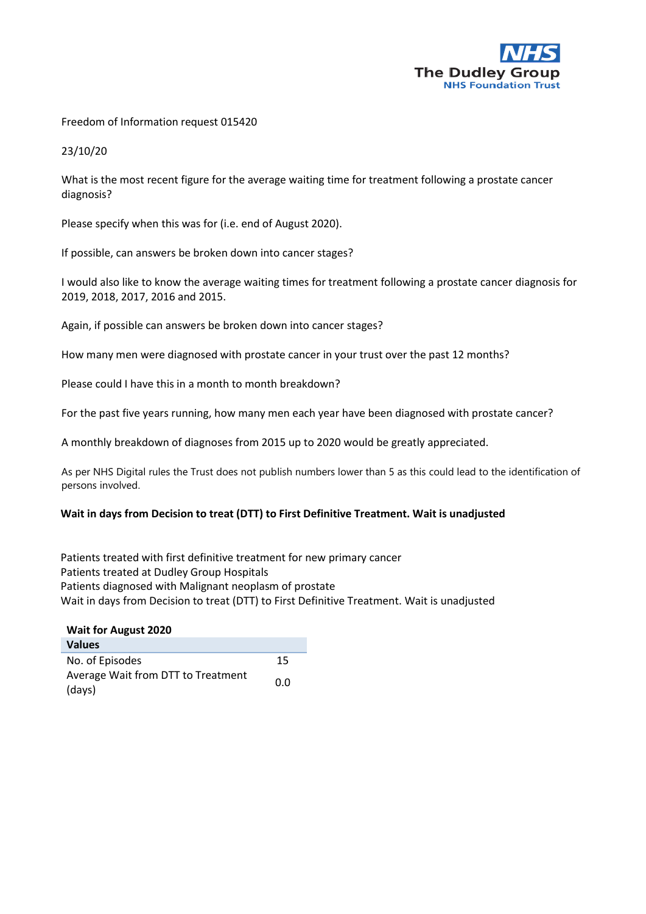

Freedom of Information request 015420

23/10/20

What is the most recent figure for the average waiting time for treatment following a prostate cancer diagnosis?

Please specify when this was for (i.e. end of August 2020).

If possible, can answers be broken down into cancer stages?

I would also like to know the average waiting times for treatment following a prostate cancer diagnosis for 2019, 2018, 2017, 2016 and 2015.

Again, if possible can answers be broken down into cancer stages?

How many men were diagnosed with prostate cancer in your trust over the past 12 months?

Please could I have this in a month to month breakdown?

For the past five years running, how many men each year have been diagnosed with prostate cancer?

A monthly breakdown of diagnoses from 2015 up to 2020 would be greatly appreciated.

As per NHS Digital rules the Trust does not publish numbers lower than 5 as this could lead to the identification of persons involved.

## **Wait in days from Decision to treat (DTT) to First Definitive Treatment. Wait is unadjusted**

Patients treated with first definitive treatment for new primary cancer Patients treated at Dudley Group Hospitals Patients diagnosed with Malignant neoplasm of prostate Wait in days from Decision to treat (DTT) to First Definitive Treatment. Wait is unadjusted

| <b>Wait for August 2020</b>        |     |  |
|------------------------------------|-----|--|
| <b>Values</b>                      |     |  |
| No. of Episodes                    | 15  |  |
| Average Wait from DTT to Treatment | 0.0 |  |
| (days)                             |     |  |